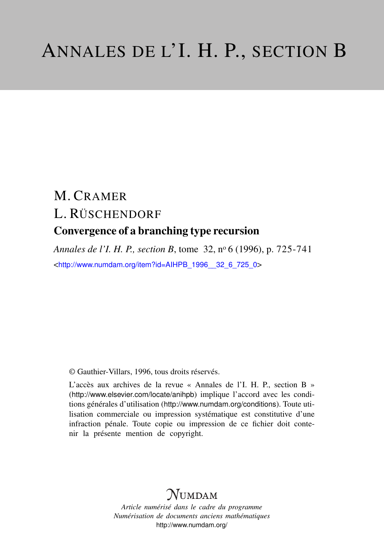# M. CRAMER L. RÜSCHENDORF Convergence of a branching type recursion

*Annales de l'I. H. P., section B*, tome 32, n<sup>o</sup> 6 (1996), p. 725-741 <[http://www.numdam.org/item?id=AIHPB\\_1996\\_\\_32\\_6\\_725\\_0](http://www.numdam.org/item?id=AIHPB_1996__32_6_725_0)>

© Gauthier-Villars, 1996, tous droits réservés.

L'accès aux archives de la revue « Annales de l'I. H. P., section B » (<http://www.elsevier.com/locate/anihpb>) implique l'accord avec les conditions générales d'utilisation (<http://www.numdam.org/conditions>). Toute utilisation commerciale ou impression systématique est constitutive d'une infraction pénale. Toute copie ou impression de ce fichier doit contenir la présente mention de copyright.

## $N$ UMDAM

*Article numérisé dans le cadre du programme Numérisation de documents anciens mathématiques* <http://www.numdam.org/>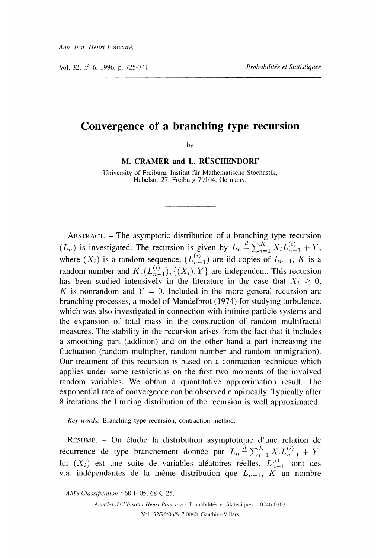Vol. 32, n° 6, 1996, p. 725-741 Probabilités et Statistiques

## Convergence of a branching type recursion

by

M. CRAMER and L. RÜSCHENDORF

University of Freiburg, Institut fur Mathematische Stochastik, Hebelstr. 27, Freiburg 79104, Germany.

ABSTRACT. - The asymptotic distribution of a branching type recursion is investigated. The recursion is given by  $L_n \triangleq \sum_{i=1}^n X_i L_{n-1}^{(i)} + Y$ , where  $(X_i)$  is a random sequence,  $(L_{n-1}^{(i)})$  are iid copies of  $L_{n-1}$ , K is a random number and  $K, (L_{n-1}^{(i)}), \{(X_i), Y\}$  are independent. This recursion has been studied intensively in the literature in the case that  $X_i > 0$ , K is nonrandom and  $Y = 0$ . Included in the more general recursion are branching processes, a model of Mandelbrot ( 1974) for studying turbulence, which was also investigated in connection with infinite particle systems and the expansion of total mass in the construction of random multifractal measures. The stability in the recursion arises from the fact that it includes a smoothing part (addition) and on the other hand a part increasing the fluctuation (random multiplier, random number and random immigration). Our treatment of this recursion is based on a contraction technique which applies under some restrictions on the first two moments of the involved random variables. We obtain a quantitative approximation result. The exponential rate of convergence can be observed empirically. Typically after 8 iterations the limiting distribution of the recursion is well approximated.

Key words: Branching type recursion, contraction method.

RESUME. - On etudie la distribution asymptotique d'une relation de récurrence de type branchement donnée par  $L_n \stackrel{d}{=} \sum_{i=1}^K X_i L_{n-1}^{(i)} + Y$ . Ici  $(X_i)$  est une suite de variables aléatoires réelles,  $L_{n-1}^{(i)}$  sont des v.a. indépendantes de la même distribution que  $L_{n-1}$ , K un nombre

AMS Classification : 60 F 05, 68 C 25.

Annales de l'Institut Henri Poincaré - Probabilités et Statistiques - 0246-0203 Vol. 32/96/06/\$ 7.00/@ Gauthier-Villars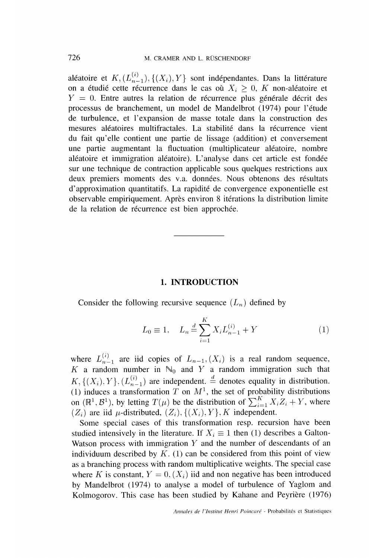aléatoire et  $K$ ,  $(L_{n-1}^{\infty})$ ,  $\{(X_i), Y\}$  sont indépendantes. Dans la littérature on a étudié cette récurrence dans le cas où  $X_i \geq 0$ , K non-aléatoire et  $Y = 0$ . Entre autres la relation de récurrence plus générale décrit des processus de branchement, un model de Mandelbrot (1974) pour l'étude de turbulence, et l'expansion de masse totale dans la construction des mesures aléatoires multifractales. La stabilité dans la récurrence vient du fait qu'elle contient une partie de lissage (addition) et conversement une partie augmentant la fluctuation (multiplicateur aléatoire, nombre aléatoire et immigration aléatoire). L' analyse dans cet article est fondée sur une technique de contraction applicable sous quelques restrictions aux deux premiers moments des v.a. données. Nous obtenons des résultats d' approximation quantitatifs. La rapidité de convergence exponentielle est observable empiriquement. Après environ 8 iterations la distribution limite de la relation de récurrence est bien approchée.

#### 1. INTRODUCTION

Consider the following recursive sequence  $(L_n)$  defined by

$$
L_0 \equiv 1, \quad L_n \stackrel{d}{=} \sum_{i=1}^{K} X_i L_{n-1}^{(i)} + Y \tag{1}
$$

where  $L_{n-1}^{(i)}$  are iid copies of  $L_{n-1}$ ,  $(X_i)$  is a real random sequence, K a random number in  $\mathbb{N}_0$  and Y a random immigration such that  $K, \{(X_i), Y\}, (L_{n-1}^{(i)})$  are independent.  $\stackrel{d}{=}$  denotes equality in distribution. (1) induces a transformation T on  $M<sup>1</sup>$ , the set of probability distributions on  $(\mathbb{R}^1, \mathcal{B}^1)$ , by letting  $T(\mu)$  be the distribution of  $\sum_{i=1}^n X_i Z_i + Y$ , where  $(Z_i)$  are iid  $\mu$ -distributed,  $(Z_i)$ ,  $\{(X_i), Y\}$ , K independent.

Some special cases of this transformation resp. recursion have been studied intensively in the literature. If  $X_i \equiv 1$  then (1) describes a Galton-Watson process with immigration  $Y$  and the number of descendants of an individuum described by  $K$ . (1) can be considered from this point of view as a branching process with random multiplicative weights. The special case where K is constant,  $Y = 0, (X_i)$  iid and non negative has been introduced by Mandelbrot (1974) to analyse a model of turbulence of Yaglom and Kolmogorov. This case has been studied by Kahane and Peyrière (1976)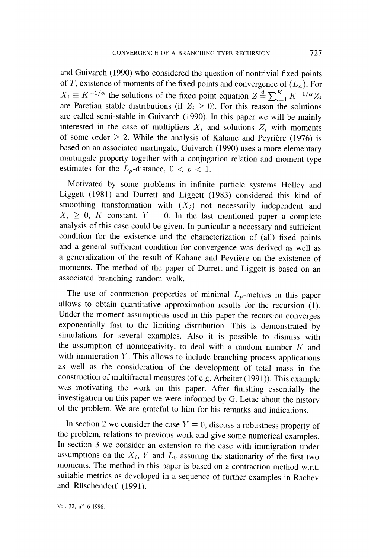and Guivarch ( 1990) who considered the question of nontrivial fixed points of T, existence of moments of the fixed points and convergence of  $(L_n)$ . For  $X_i \equiv K^{-1/\alpha}$  the solutions of the fixed point equation  $Z \stackrel{d}{=} \sum_{i=1}^K K^{-1/\alpha} Z_i$ are Paretian stable distributions (if  $Z_i \geq 0$ ). For this reason the solutions are called semi-stable in Guivarch ( 1990). In this paper we will be mainly interested in the case of multipliers  $X_i$  and solutions  $Z_i$  with moments of some order  $> 2$ . While the analysis of Kahane and Peyrière (1976) is based on an associated martingale, Guivarch ( 1990) uses a more elementary martingale property together with a conjugation relation and moment type estimates for the  $L_p$ -distance,  $0 < p < 1$ .

Motivated by some problems in infinite particle systems Holley and Liggett (1981) and Durrett and Liggett (1983) considered this kind of smoothing transformation with  $(X_i)$  not necessarily independent and  $X_i \geq 0$ , K constant,  $Y = 0$ . In the last mentioned paper a complete analysis of this case could be given. In particular a necessary and sufficient condition for the existence and the characterization of (all) fixed points and a general sufficient condition for convergence was derived as well as a generalization of the result of Kahane and Peyrière on the existence of moments. The method of the paper of Durrett and Liggett is based on an associated branching random walk.

The use of contraction properties of minimal  $L_p$ -metrics in this paper allows to obtain quantitative approximation results for the recursion (1). Under the moment assumptions used in this paper the recursion converges exponentially fast to the limiting distribution. This is demonstrated by simulations for several examples. Also it is possible to dismiss with the assumption of nonnegativity, to deal with a random number  $K$  and with immigration  $Y$ . This allows to include branching process applications as well as the consideration of the development of total mass in the construction of multifractal measures (of e.g. Arbeiter (1991)). This example was motivating the work on this paper. After finishing essentially the investigation on this paper we were informed by G. Letac about the history of the problem. We are grateful to him for his remarks and indications.

In section 2 we consider the case  $Y \equiv 0$ , discuss a robustness property of the problem, relations to previous work and give some numerical examples. In section 3 we consider an extension to the case with immigration under assumptions on the  $X_i$ , Y and  $L_0$  assuring the stationarity of the first two moments. The method in this paper is based on a contraction method w.r.t. suitable metrics as developed in a sequence of further examples in Rachev and Rüschendorf (1991).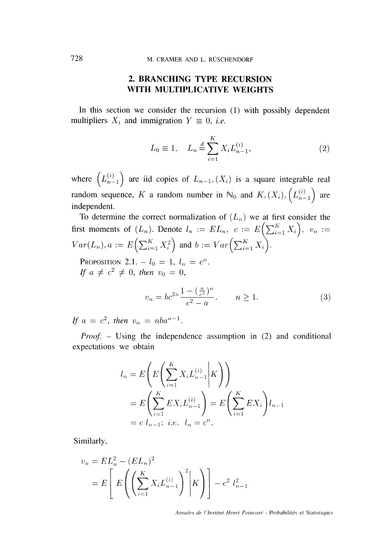### 2. BRANCHING TYPE RECURSION WITH MULTIPLICATIVE WEIGHTS

In this section we consider the recursion (1) with possibly dependent multipliers  $X_i$  and immigration  $Y \equiv 0$ , *i.e.* 

$$
L_0 \equiv 1, \quad L_n \stackrel{d}{=} \sum_{i=1}^{K} X_i L_{n-1}^{(i)}, \tag{2}
$$

where  $(L_{n-1}^{(i)})$  are iid copies of  $L_{n-1}$ ,  $(X_i)$  is a square integrable real random sequence, K a random number in  $\mathbb{N}_0$  and  $K$ ,  $(X_i)$ ,  $(L_{n-1}^{(i)})$  are independent.

To determine the correct normalization of  $(L_n)$  we at first consider the first moments of  $(L_n)$ . Denote  $l_n := EL_n$ ,  $c := E\left(\sum_{i=1}^K X_i\right)$ ,  $v_n := Var(L_n)$ ,  $a := E\left(\sum_{i=1}^K X_i^2\right)$  and  $b := Var\left(\sum_{i=1}^K X_i\right)$ .

PROPOSITION 2.1.  $-l_0 = 1$ ,  $l_n = c^n$ .<br>
If  $a \neq c^2 \neq 0$ , then  $v_0 = 0$ ,

$$
v_n = bc^{2n} \frac{1 - \left(\frac{a}{c^2}\right)^n}{c^2 - a}, \qquad n \ge 1.
$$
 (3)

If  $a = c^2$ , then  $v_n = nba^{n-1}$ .

*Proof.* – Using the independence assumption in  $(2)$  and conditional expectations we obtain

$$
l_n = E\left(E\left(\sum_{i=1}^K X_i L_{n-1}^{(i)} \middle| K\right)\right)
$$
  
=  $E\left(\sum_{i=1}^K EX_i L_{n-1}^{(i)}\right) = E\left(\sum_{i=1}^K EX_i\right) l_{n-1}$   
=  $c l_{n-1}$ ; *i.e.*  $l_n = c^n$ .

Similarly,

$$
v_n = EL_n^2 - (EL_n)^2
$$
  
=  $E\left[E\left(\left(\sum_{i=1}^K X_i L_{n-1}^{(i)}\right)^2 \middle| K\right)\right] - c^2 l_{n-1}^2$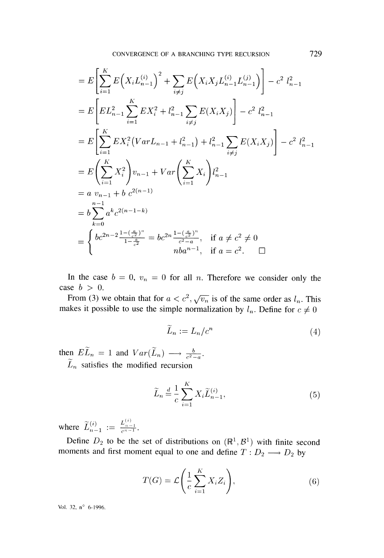$$
= E\left[\sum_{i=1}^{K} E\left(X_{i}L_{n-1}^{(i)}\right)^{2} + \sum_{i \neq j} E\left(X_{i}X_{j}L_{n-1}^{(i)}L_{n-1}^{(j)}\right)\right] - c^{2} l_{n-1}^{2}
$$
  
\n
$$
= E\left[EL_{n-1}^{2} \sum_{i=1}^{K} EX_{i}^{2} + l_{n-1}^{2} \sum_{i \neq j} E(X_{i}X_{j})\right] - c^{2} l_{n-1}^{2}
$$
  
\n
$$
= E\left[\sum_{i=1}^{K} EX_{i}^{2} \left(Var L_{n-1} + l_{n-1}^{2}\right) + l_{n-1}^{2} \sum_{i \neq j} E(X_{i}X_{j})\right] - c^{2} l_{n-1}^{2}
$$
  
\n
$$
= E\left(\sum_{i=1}^{K} X_{i}^{2}\right) v_{n-1} + Var\left(\sum_{i=1}^{K} X_{i}\right) l_{n-1}^{2}
$$
  
\n
$$
= a v_{n-1} + b c^{2(n-1)}
$$
  
\n
$$
= b \sum_{k=0}^{n-1} a^{k} c^{2(n-1-k)}
$$
  
\n
$$
= \begin{cases} bc^{2n-2} \frac{1-(\frac{a}{c^{2}})^{n}}{1-\frac{a}{c^{2}}} = bc^{2n} \frac{1-(\frac{a}{c^{2}})^{n}}{1-\frac{a}{c^{2}}}, & \text{if } a \neq c^{2} \neq 0 \\nb a^{n-1}, & \text{if } a = c^{2}. \end{cases}
$$

In the case  $b = 0$ ,  $v_n = 0$  for all n. Therefore we consider only the case  $b > 0$ .

From (3) we obtain that for  $a < c^2$ ,  $\sqrt{v_n}$  is of the same order as  $l_n$ . This makes it possible to use the simple normalization by  $l_n$ . Define for  $c \neq 0$ 

$$
\widetilde{L}_n := L_n/c^n \tag{4}
$$

then  $E\widetilde{L}_n = 1$  and  $Var(\widetilde{L}_n) \longrightarrow \frac{b}{c^2-a}$ .

 $\widetilde{L}_n$  satisfies the modified recursion

$$
\widetilde{L}_n \stackrel{d}{=} \frac{1}{c} \sum_{i=1}^K X_i \widetilde{L}_{n-1}^{(i)},\tag{5}
$$

where  $\widetilde{L}_{n-1}^{(i)} := \frac{L_{n-1}^{(i)}}{c^{n-1}}$ .

Define  $D_2$  to be the set of distributions on  $(\mathbb{R}^1, \mathcal{B}^1)$  with finite second moments and first moment equal to one and define  $T : D_2 \longrightarrow D_2$  by

$$
T(G) = \mathcal{L}\left(\frac{1}{c}\sum_{i=1}^{K} X_i Z_i\right),\tag{6}
$$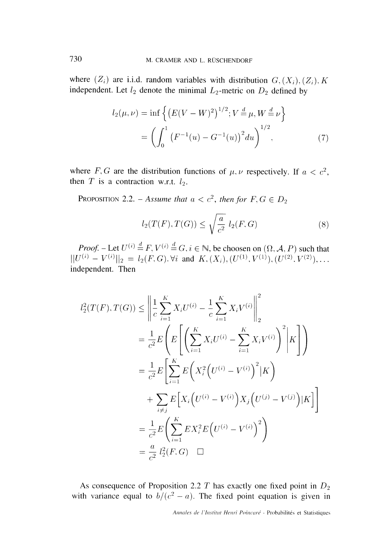where  $(Z_i)$  are i.i.d. random variables with distribution  $G, (X_i), (Z_i), K$ independent. Let  $l_2$  denote the minimal  $L_2$ -metric on  $D_2$  defined by

$$
l_2(\mu, \nu) = \inf \left\{ \left( E(V - W)^2 \right)^{1/2}; V \stackrel{d}{=} \mu, W \stackrel{d}{=} \nu \right\}
$$

$$
= \left( \int_0^1 \left( F^{-1}(u) - G^{-1}(u) \right)^2 du \right)^{1/2}, \tag{7}
$$

where F, G are the distribution functions of  $\mu$ ,  $\nu$  respectively. If  $a < c^2$ , then  $T$  is a contraction w.r.t.  $l_2$ .

PROPOSITION 2.2. - Assume that  $a < c^2$ , then for  $F, G \in D_2$ 

$$
l_2(T(F), T(G)) \le \sqrt{\frac{a}{c^2}} l_2(F, G)
$$
 (8)

*Proof.*  $-$  Let  $U^{(i)} = F, V^{(i)} = G, i \in \mathbb{N}$ , be choosen on  $(\Omega, \mathcal{A}, P)$  such that  $||U^{(1)} - V^{(2)}||_2 = l_2(F, G)$ .  $\forall i$  and  $K, (X_i), (U^{(1)}, V^{(1)}), (U^{(2)}, V^{(2)}), \ldots$ independent. Then

$$
l_2^2(T(F), T(G)) \leq \left\| \frac{1}{c} \sum_{i=1}^K X_i U^{(i)} - \frac{1}{c} \sum_{i=1}^K X_i V^{(i)} \right\|_2^2
$$
  
\n
$$
= \frac{1}{c^2} E \left( E \left[ \left( \sum_{i=1}^K X_i U^{(i)} - \sum_{i=1}^K X_i V^{(i)} \right)^2 \middle| K \right] \right)
$$
  
\n
$$
= \frac{1}{c^2} E \left[ \sum_{i=1}^K E \left( X_i^2 \left( U^{(i)} - V^{(i)} \right)^2 \middle| K \right) + \sum_{i \neq j} E \left[ X_i \left( U^{(i)} - V^{(i)} \right) X_j \left( U^{(j)} - V^{(j)} \right) \middle| K \right] \right]
$$
  
\n
$$
= \frac{1}{c^2} E \left( \sum_{i=1}^K E X_i^2 E \left( U^{(i)} - V^{(i)} \right)^2 \right)
$$
  
\n
$$
= \frac{a}{c^2} l_2^2(F, G) \quad \Box
$$

As consequence of Proposition 2.2  $T$  has exactly one fixed point in  $D_2$ with variance equal to  $b/(c^2 - a)$ . The fixed point equation is given in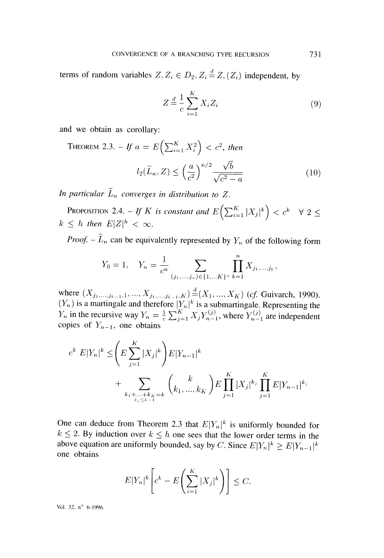terms of random variables  $Z, Z_i \in D_2, Z_i \stackrel{d}{=} Z_i(Z_i)$  independent, by

$$
Z \stackrel{d}{=} \frac{1}{c} \sum_{i=1}^{K} X_i Z_i \tag{9}
$$

and we obtain as corollary:

THEOREM 2.3. – If  $a = E\left(\sum_{i=1}^{K} X_i^2\right) < c^2$ , then  $l_2(\widetilde{L}_n, Z) \leq \left(\frac{a}{c^2}\right)^{n/2} \frac{\sqrt{b}}{\sqrt{c^2-a}}$  $(10)$ 

In particular  $\widetilde{L}_n$  converges in distribution to Z.

PROPOSITION 2.4. – If K is constant and  $E\left(\sum_{i=1}^K |X_j|^k\right) < c^k \quad \forall \; 2$  $k \leq h$  then  $E|Z|^h < \infty$ .

*Proof.* –  $\widetilde{L}_n$  can be equivalently represented by  $Y_n$  of the following form

$$
Y_0 = 1, \quad Y_n = \frac{1}{c^n} \sum_{(j_1, \ldots, j_n) \in \{1, \ldots K\}^n} \prod_{k=1}^n X_{j_1, \ldots, j_k},
$$

where  $(X_{j_1,...,j_{k-1},1},..., X_{j_1,...,j_{k-1},K}) \equiv (X_1,...,X_K)$  (cf. Guivarch, 1990).  $(Y_n)$  is a martingale and therefore  $|Y_n|^k$  is a submartingale. Representing the  $Y_n$  in the recursive way  $Y_n = \frac{1}{c} \sum_{j=1}^{n} X_j Y_{n-1}^{(j)}$ , where  $Y_{n-1}^{(j)}$  are independent copies of  $Y_{n-1}$ , one obtains

$$
c^{k} E|Y_{n}|^{k} \leq \left(E \sum_{j=1}^{K} |X_{j}|^{k}\right) E|Y_{n-1}|^{k} + \sum_{\substack{k_{1} + ... + k_{K} = k \\ k_{i} \leq k-1}} \binom{k}{k_{1}, ..., k_{K}} E \prod_{j=1}^{K} |X_{j}|^{k_{j}} \prod_{j=1}^{K} E|Y_{n-1}|^{k_{j}}
$$

One can deduce from Theorem 2.3 that  $E[Y_n]^k$  is uniformly bounded for  $k \leq 2$ . By induction over  $k \leq h$  one sees that the lower order terms in the above equation are uniformly bounded, say by C. Since  $E|Y_n|^k \geq E|Y_{n-1}|^k$ one obtains

$$
E|Y_n|^k \left[ c^k - E\left(\sum_{i=1}^K |X_j|^k\right) \right] \leq C.
$$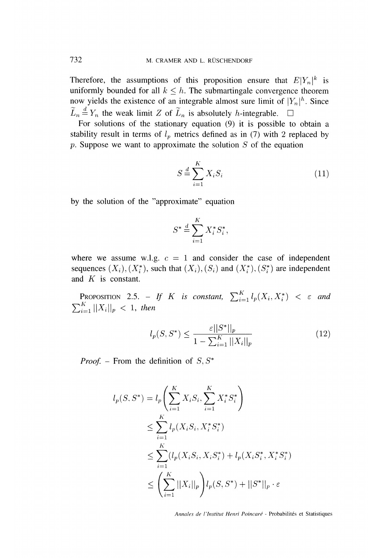Therefore, the assumptions of this proposition ensure that  $E[Y_n]^k$  is uniformly bounded for all  $k \leq h$ . The submartingale convergence theorem now yields the existence of an integrable almost sure limit of  $|Y_n|^h$ . Since  $\widetilde{L}_n \stackrel{d}{=} Y_n$  the weak limit Z of  $\widetilde{L}_n$  is absolutely h-integrable.  $\square$ 

For solutions of the stationary equation (9) it is possible to obtain a stability result in terms of  $l_p$  metrics defined as in (7) with 2 replaced by p. Suppose we want to approximate the solution  $S$  of the equation

$$
S \stackrel{d}{=} \sum_{i=1}^{K} X_i S_i \tag{11}
$$

by the solution of the "approximate" equation

$$
S^* \stackrel{d}{=} \sum_{i=1}^K X_i^* S_i^*,
$$

where we assume w.l.g.  $c = 1$  and consider the case of independent sequences  $(X_i)$ ,  $(X_i^*)$ , such that  $(X_i)$ ,  $(S_i)$  and  $(X_i^*)$ ,  $(S_i^*)$  are independent and K is constant.

PROPOSITION 2.5. - If K is constant,  $\sum_{i=1}^{K} l_p (X_i, X_i^*)$  <  $\varepsilon$  and  $\sum_{i=1}^{K} ||X_i||_p < 1,$  then

$$
l_p(S, S^*) \le \frac{\varepsilon ||S^*||_p}{1 - \sum_{i=1}^K ||X_i||_p}
$$
(12)

*Proof.* – From the definition of  $S, S^*$ 

$$
l_p(S, S^*) = l_p\left(\sum_{i=1}^K X_i S_i, \sum_{i=1}^K X_i^* S_i^*\right)
$$
  
\n
$$
\leq \sum_{i=1}^K l_p(X_i S_i, X_i^* S_i^*)
$$
  
\n
$$
\leq \sum_{i=1}^K (l_p(X_i S_i, X_i S_i^*) + l_p(X_i S_i^*, X_i^* S_i^*)
$$
  
\n
$$
\leq \left(\sum_{i=1}^K ||X_i||_p\right) l_p(S, S^*) + ||S^*||_p \cdot \varepsilon
$$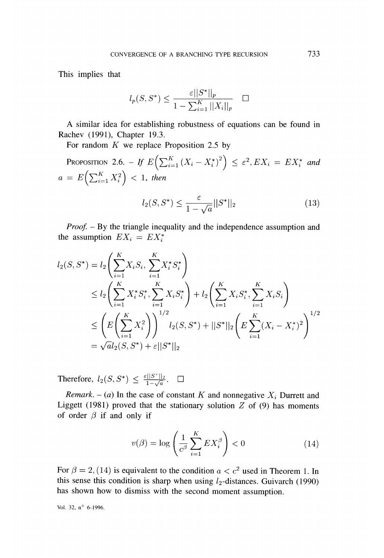This implies that

$$
l_p(S, S^*) \le \frac{\varepsilon ||S^*||_p}{1 - \sum_{i=1}^K ||X_i||_p} \quad \Box
$$

A similar idea for establishing robustness of equations can be found in Rachev (1991), Chapter 19.3.

For random  $K$  we replace Proposition 2.5 by

PROPOSITION 2.6. – If  $E\left(\sum_{i=1}^{K} (X_i - X_i^*)^2\right) \le \varepsilon^2, EX_i = EX_i^*$  and  $a = E\left(\sum_{i=1}^{K} X_i^2\right) < 1$ , then

$$
l_2(S, S^*) \le \frac{\varepsilon}{1 - \sqrt{a}} ||S^*||_2 \tag{13}
$$

*Proof.*  $-$  By the triangle inequality and the independence assumption and the assumption  $EX_i = EX_i^*$ 

$$
l_2(S, S^*) = l_2\left(\sum_{i=1}^K X_i S_i, \sum_{i=1}^K X_i^* S_i^*\right)
$$
  
\n
$$
\leq l_2\left(\sum_{i=1}^K X_i^* S_i^*, \sum_{i=1}^K X_i S_i^*\right) + l_2\left(\sum_{i=1}^K X_i S_i^*, \sum_{i=1}^K X_i S_i\right)
$$
  
\n
$$
\leq \left(E\left(\sum_{i=1}^K X_i^2\right)\right)^{1/2} l_2(S, S^*) + ||S^*||_2 \left(E\sum_{i=1}^K (X_i - X_i^*)^2\right)^{1/2}
$$
  
\n
$$
= \sqrt{a} l_2(S, S^*) + \varepsilon ||S^*||_2
$$

Therefore,  $l_2(S, S^*) \leq \frac{\varepsilon ||S^*||_2}{1-\sqrt{a}}$ .

*Remark.*  $- (a)$  In the case of constant K and nonnegative  $X_i$  Durrett and Liggett (1981) proved that the stationary solution  $Z$  of (9) has moments of order  $\beta$  if and only if

$$
v(\beta) = \log \left( \frac{1}{c^{\beta}} \sum_{i=1}^{K} E X_i^{\beta} \right) < 0 \tag{14}
$$

For  $\beta = 2$ , (14) is equivalent to the condition  $a < c<sup>2</sup>$  used in Theorem 1. In this sense this condition is sharp when using  $l_2$ -distances. Guivarch (1990) has shown how to dismiss with the second moment assumption.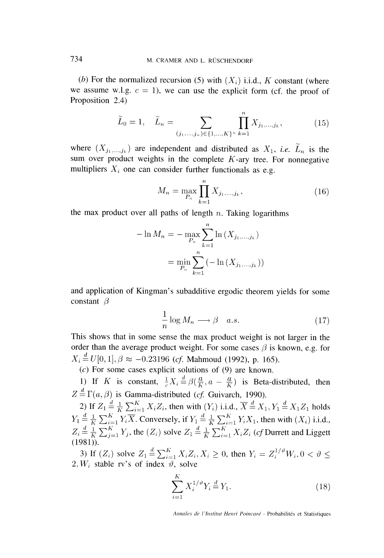(b) For the normalized recursion (5) with  $(X_i)$  i.i.d., K constant (where we assume w.l.g.  $c = 1$ ), we can use the explicit form (cf. the proof of Proposition 2.4)

$$
\widetilde{L}_0 = 1, \quad \widetilde{L}_n = \sum_{(j_1, \dots, j_n) \in \{1, \dots, K\}^n} \prod_{k=1}^n X_{j_1, \dots, j_k}, \tag{15}
$$

where  $(X_{j_1,\dots,j_k})$  are independent and distributed as  $X_1$ , *i.e.*  $\widetilde{L}_n$  is the sum over product weights in the complete  $K$ -ary tree. For nonnegative multipliers  $X_i$  one can consider further functionals as e.g.

$$
M_n = \max_{P_n} \prod_{k=1}^n X_{j_1, \dots, j_k},
$$
\n(16)

the max product over all paths of length  $n$ . Taking logarithms

$$
-\ln M_n = -\max_{P_n} \sum_{k=1}^n \ln(X_{j_1,\dots,j_k})
$$

$$
= \min_{P_n} \sum_{k=1}^n (-\ln(X_{j_1,\dots,j_k}))
$$

and application of Kingman's subadditive ergodic theorem yields for some constant  $\beta$ 

$$
\frac{1}{n}\log M_n \longrightarrow \beta \quad a.s.\tag{17}
$$

This shows that in some sense the max product weight is not larger in the order than the average product weight. For some cases  $\beta$  is known, e.g. for  $X_i \stackrel{d}{=} U[0,1], \beta \approx -0.23196$  (cf. Mahmoud (1992), p. 165).

(c) For some cases explicit solutions of  $(9)$  are known.

1) If K is constant,  $\frac{1}{c}X_i \stackrel{d}{=} \beta(\frac{a}{K}, a - \frac{a}{K})$  is Beta-distributed, then  $Z \stackrel{d}{=} \Gamma(a, \beta)$  is Gamma-distributed (*cf.* Guivarch, 1990).  $Z = \Gamma(a, \beta)$  is Gamma-distributed (*cf.* Guivarch, 1990).

2) If  $Z_1 \stackrel{\text{d}}{=} \frac{1}{K} \sum_{i=1}^K X_i Z_i$ , then with  $(Y_i)$  i.i.d.,  $X \stackrel{\text{d}}{=} X_1, Y_1 \stackrel{\text{d}}{=} X_1 Z_1$  holds Conversely, if  $Y_1 = \frac{1}{K} \sum_{i=1}^{K} Y_i X_1$ , then with  $(X_i)$  i.i.d., the  $(Z_i)$  solve  $Z_1 = \frac{1}{K} \sum_{i=1}^{K} X_i Z_i$  (cf Durrett and Liggett (1981)).

3) If  $(Z_i)$  solve  $Z_1 \stackrel{d}{=} \sum_{i=1}^K X_i Z_i, X_i \geq 0$ , then  $Y_i = Z_i^{1/\vartheta} W_i, 0 < \vartheta \leq$ 2,  $W_i$  stable rv's of index  $\overrightarrow{\theta}$ , solve

$$
\sum_{i=1}^{K} X_i^{1/\vartheta} Y_i \stackrel{d}{=} Y_1.
$$
 (18)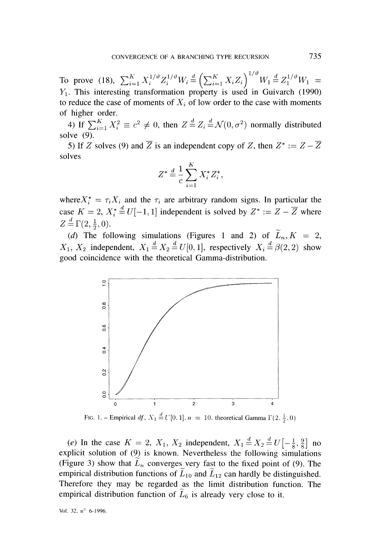To prove (18),  $\sum_{i=1}^{K} X_i^{1/\vartheta} Z_i^{1/\vartheta} W_i \stackrel{d}{=} \left( \sum_{i=1}^{K} X_i Z_i \right)^{1/\vartheta} W_1 \stackrel{d}{=} Z_1^{1/\vartheta} W_1 =$  $Y_1$ . This interesting transformation property is used in Guivarch (1990) to reduce the case of moments of  $X_i$  of low order to the case with moments of higher order.

4) If  $\sum_{i=1}^{K} X_i^2 \equiv c^2 \neq 0$ , then  $Z \stackrel{d}{=} Z_i \stackrel{d}{=} \mathcal{N}(0, \sigma^2)$  normally distributed solve (9).

5) If Z solves (9) and  $\overline{Z}$  is an independent copy of Z, then  $Z^* := Z - \overline{Z}$ solves

$$
Z^* \stackrel{d}{=} \frac{1}{c} \sum_{i=1}^K X_i^* Z_i^*,
$$

where  $X_i^* = \tau_i X_i$  and the  $\tau_i$  are arbitrary random signs. In particular the case  $K = 2$ ,  $X_i^* \stackrel{d}{=} U[-1, 1]$  independent is solved by  $Z^* := Z - \overline{Z}$  where  $Z \stackrel{d}{=} \Gamma(2, \frac{1}{2}, 0)$ .

(d) The following simulations (Figures 1 and 2) of  $\tilde{L}_n, K = 2$ ,  $X_1, X_2$  independent,  $X_1 \stackrel{d}{=} X_2 \stackrel{d}{=} U[0,1]$ , respectively  $X_i \stackrel{d}{=} \beta(2,2)$  show good coincidence with the theoretical Gamma-distribution.



FIG. 1. – Empirical df,  $X_1 \stackrel{d}{=} U[0,1]$ ,  $n = 10$ , theoretical Gamma  $\Gamma(2, \frac{1}{2}, 0)$ 

(e) In the case  $K = 2$ ,  $X_1$ ,  $X_2$  independent,  $X_1 \stackrel{d}{=} X_2 \stackrel{d}{=} U\left[-\frac{1}{8}, \frac{9}{8}\right]$  no explicit solution of (9) is known. Nevertheless the following simulations (Figure 3) show that  $L_n$  converges very fast to the fixed point of (9). The empirical distribution functions of  $\widetilde{L}_{10}$  and  $\widetilde{L}_{12}$  can hardly be distinguished. Therefore they may be regarded as the limit distribution function. The empirical distribution function of  $L_6$  is already very close to it.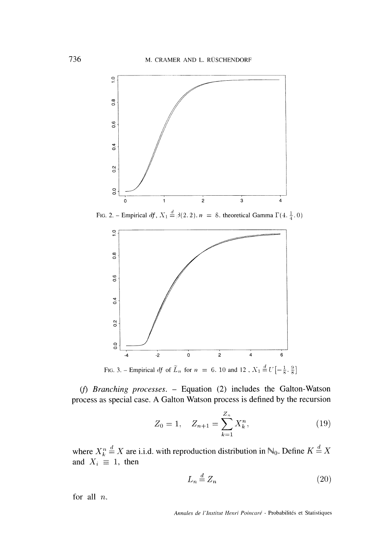

FIG. 2. – Empirical df,  $X_1 \stackrel{d}{\Rightarrow} \beta(2,2)$ .  $n = 8$ . theoretical Gamma  $\Gamma(4, \frac{1}{4}, 0)$ 



FIG. 3. – Empirical df of  $\tilde{L}_n$  for  $n = 6$ . 10 and 12,  $X_1 \stackrel{d}{=} U\left[-\frac{1}{8}, \frac{9}{8}\right]$ 

(/) Branching processes. - Equation (2) includes the Galton-Watson process as special case. A Galton Watson process is defined by the recursion

$$
Z_0 = 1, \quad Z_{n+1} = \sum_{k=1}^{Z_n} X_k^n,\tag{19}
$$

where  $X_k^n \stackrel{d}{=} X$  are i.i.d. with reproduction distribution in  $\mathbb{N}_0$ . Define  $K \stackrel{d}{=} X$ and  $X_i \equiv 1$ , then

$$
L_n \stackrel{d}{=} Z_n \tag{20}
$$

for all n.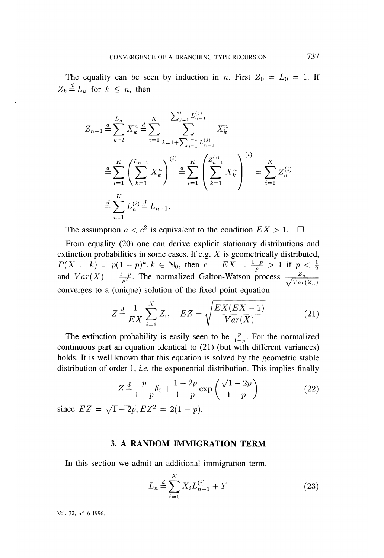The equality can be seen by induction in n. First  $Z_0 = L_0 = 1$ . If  $Z_k \stackrel{d}{=} L_k$  for  $k \leq n$ , then

$$
Z_{n+1} \stackrel{d}{=} \sum_{k=l}^{L_n} X_k^n \stackrel{d}{=} \sum_{i=1}^K \sum_{k=1+\sum_{j=1}^{i-1} L_{n-1}^{(j)}}^{L_{n-1}^{(j)}} X_k^n
$$
  

$$
\stackrel{d}{=} \sum_{i=1}^K \left( \sum_{k=1}^{L_{n-1}} X_k^n \right)^{(i)} \stackrel{d}{=} \sum_{i=1}^K \left( \sum_{k=1}^{Z_{n-1}^{(i)}} X_k^n \right)^{(i)} = \sum_{i=1}^K Z_n^{(i)}
$$
  

$$
\stackrel{d}{=} \sum_{i=1}^K L_n^{(i)} \stackrel{d}{=} L_{n+1}.
$$

The assumption  $a < c^2$  is equivalent to the condition  $EX > 1$ .  $\Box$ 

From equality (20) one can derive explicit stationary distributions and extinction probabilities in some cases. If e.g.  $X$  is geometrically distributed,  $P(X = k) = p(1 - p)^{k}, k \in \mathbb{N}_{0}$ , then and  $Var(X) = \frac{1-p}{p^2}$ . The normalized Galton-Watson process  $\frac{Z_n}{\sqrt{Var(Z_n)}}$ converges to a (unique) solution of the fixed point equation

$$
Z \stackrel{d}{=} \frac{1}{EX} \sum_{i=1}^{X} Z_i, \quad EZ = \sqrt{\frac{EX(EX-1)}{Var(X)}} \tag{21}
$$

The extinction probability is easily seen to be  $\frac{p}{1-p}$ . For the normalized continuous part an equation identical to (21) (but with different variances) holds. It is well known that this equation is solved by the geometric stable distribution of order 1, *i.e.* the exponential distribution. This implies finally

$$
Z \stackrel{d}{=} \frac{p}{1-p} \delta_0 + \frac{1-2p}{1-p} \exp\left(\frac{\sqrt{1-2p}}{1-p}\right)
$$
 (22)

since  $EZ = \sqrt{1 - 2p}$ ,  $EZ^2 = 2(1 - p)$ .

#### 3. A RANDOM IMMIGRATION TERM

In this section we admit an additional immigration term.

$$
L_n \stackrel{d}{=} \sum_{i=1}^{K} X_i L_{n-1}^{(i)} + Y \tag{23}
$$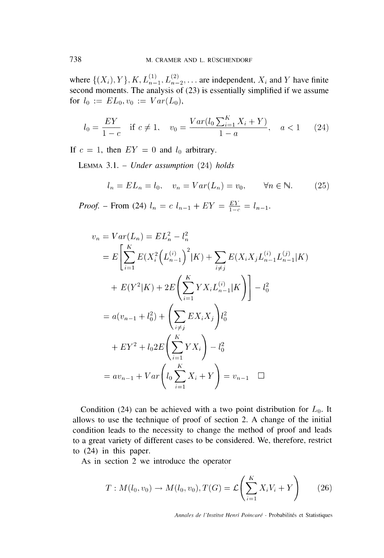where  $\{(X_i), Y\}, K, L_{n-1}^{(1)}, L_{n-2}^{(2)}, \ldots$  are independent,  $X_i$  and Y have finite second moments. The analysis of (23) is essentially simplified if we assume for  $l_0 := EL_0, v_0 := Var(L_0),$ 

$$
l_0 = \frac{EY}{1-c} \quad \text{if } c \neq 1, \quad v_0 = \frac{Var(l_0 \sum_{i=1}^{K} X_i + Y)}{1-a}, \quad a < 1 \tag{24}
$$

If  $c = 1$ , then  $EY = 0$  and  $l_0$  arbitrary.

LEMMA 3.1. - Under assumption  $(24)$  holds

$$
l_n = EL_n = l_0, \quad v_n = Var(L_n) = v_0, \qquad \forall n \in \mathbb{N}.
$$
 (25)

*Proof.* – From (24)  $l_n = c l_{n-1} + EY = \frac{EY}{1-c} = l_{n-1}$ .

$$
v_n = Var(L_n) = EL_n^2 - l_n^2
$$
  
=  $E\left[\sum_{i=1}^K E(X_i^2 \left(L_{n-1}^{(i)}\right)^2 | K) + \sum_{i \neq j} E(X_i X_j L_{n-1}^{(i)} L_{n-1}^{(j)} | K) \right]$   
+  $E(Y^2 | K) + 2E\left(\sum_{i=1}^K Y X_i L_{n-1}^{(i)} | K\right) - l_0^2$   
=  $a(v_{n-1} + l_0^2) + \left(\sum_{i \neq j} E X_i X_j\right) l_0^2$   
+  $EY^2 + l_0 2E\left(\sum_{i=1}^K Y X_i\right) - l_0^2$   
=  $av_{n-1} + Var\left(l_0 \sum_{i=1}^K X_i + Y\right) = v_{n-1} \quad \Box$ 

Condition (24) can be achieved with a two point distribution for  $L_0$ . It allows to use the technique of proof of section 2. A change of the initial condition leads to the necessity to change the method of proof and leads to a great variety of different cases to be considered. We, therefore, restrict to (24) in this paper.

As in section 2 we introduce the operator

$$
T: M(l_0, v_0) \to M(l_0, v_0), T(G) = \mathcal{L}\left(\sum_{i=1}^K X_i V_i + Y\right) \tag{26}
$$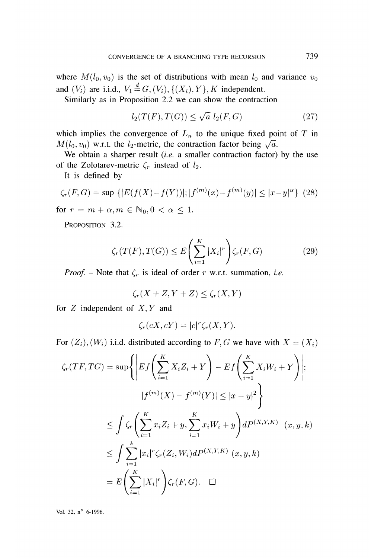where  $M(l_0, v_0)$  is the set of distributions with mean  $l_0$  and variance  $v_0$ and  $(V_i)$  are i.i.d.,  $V_1 \stackrel{d}{=} G$ ,  $(V_i)$ ,  $\{(X_i), Y\}$ ,  $K$  independent.

Similarly as in Proposition 2.2 we can show the contraction

$$
l_2(T(F), T(G)) \le \sqrt{a} \ l_2(F, G) \tag{27}
$$

which implies the convergence of  $L_n$  to the unique fixed point of T in  $M(l_0, v_0)$  w.r.t. the  $l_2$ -metric, the contraction factor being  $\sqrt{a}$ .

We obtain a sharper result (*i.e.* a smaller contraction factor) by the use of the Zolotarev-metric  $\zeta_r$  instead of  $l_2$ .

It is defined by

$$
\zeta_r(F,G) = \sup \left\{ |E(f(X) - f(Y))|; |f^{(m)}(x) - f^{(m)}(y)| \le |x - y|^{\alpha} \right\} \tag{28}
$$

for  $r = m + \alpha, m \in \mathbb{N}_0, 0 < \alpha < 1$ .

PROPOSITION 3.2.

$$
\zeta_r(T(F), T(G)) \le E\left(\sum_{i=1}^K |X_i|^r\right) \zeta_r(F, G) \tag{29}
$$

*Proof.* – Note that  $\zeta_r$  is ideal of order r w.r.t. summation, i.e.

$$
\zeta_r(X+Z,Y+Z) \le \zeta_r(X,Y)
$$

for  $Z$  independent of  $X, Y$  and

$$
\zeta_r(cX, cY) = |c|^r \zeta_r(X, Y).
$$

For  $(Z_i)$ ,  $(W_i)$  i.i.d. distributed according to F, G we have with  $X = (X_i)$ 

$$
\zeta_r(TF, TG) = \sup \left\{ \left| Ef \left( \sum_{i=1}^K X_i Z_i + Y \right) - Ef \left( \sum_{i=1}^K X_i W_i + Y \right) \right|; \right\}
$$
  

$$
|f^{(m)}(X) - f^{(m)}(Y)| \le |x - y|^2 \right\}
$$
  

$$
\le \int \zeta_r \left( \sum_{i=1}^K x_i Z_i + y, \sum_{i=1}^K x_i W_i + y \right) dP^{(X,Y,K)} \quad (x, y, k)
$$
  

$$
\le \int \sum_{i=1}^k |x_i|^r \zeta_r(Z_i, W_i) dP^{(X,Y,K)} \quad (x, y, k)
$$
  

$$
= E \left( \sum_{i=1}^K |X_i|^r \right) \zeta_r(F, G). \quad \Box
$$

Vo!.32,n° 6-1996.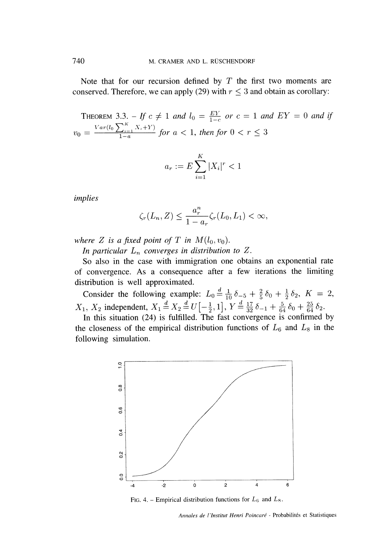Note that for our recursion defined by  $T$  the first two moments are conserved. Therefore, we can apply (29) with  $r \leq 3$  and obtain as corollary:

THEOREM 3.3. – If  $c \neq 1$  and  $l_0 = \frac{EY}{1-c}$  or  $c = 1$  and  $EY = 0$  and if  $v_0 = \frac{Var(l_0 \sum_{i=1}^{K} X_i + Y)}{1-a}$  for  $a < 1$ , then for  $0 < r \leq 3$ 

$$
a_r:=E\sum_{i=1}^K|X_i|^r<1
$$

implies

$$
\zeta_r(L_n, Z) \le \frac{a_r^n}{1 - a_r} \zeta_r(L_0, L_1) < \infty,
$$

where Z is a fixed point of T in  $M(l_0, v_0)$ .

In particular  $L_n$  converges in distribution to Z.

So also in the case with immigration one obtains an exponential rate of convergence. As a consequence after a few iterations the limiting distribution is well approximated.

Consider the following example:  $L_0 = \frac{d}{10} \delta_{-5} + \frac{2}{5} \delta_0 + \frac{1}{2} \delta_2$ ,  $K = 2$ , Consider the following example:  $L_0 \stackrel{d}{=} \frac{1}{10} \delta_{-5} + \frac{2}{5} \delta_0 + \frac{1}{2} \delta_2$ ,  $K = 2$ ,  $X_1, X_2$  independent,  $X_1 \stackrel{d}{=} X_2 \stackrel{d}{=} U\left[-\frac{1}{2}, 1\right]$ ,  $Y \stackrel{d}{=} \frac{17}{32} \delta_{-1} + \frac{5}{64} \delta_0 + \frac{25}{64} \delta_2$ .<br>In this situ

the closeness of the empirical distribution functions of  $L_6$  and  $L_8$  in the following simulation.



FIG. 4. – Empirical distribution functions for  $L_6$  and  $L_8$ .